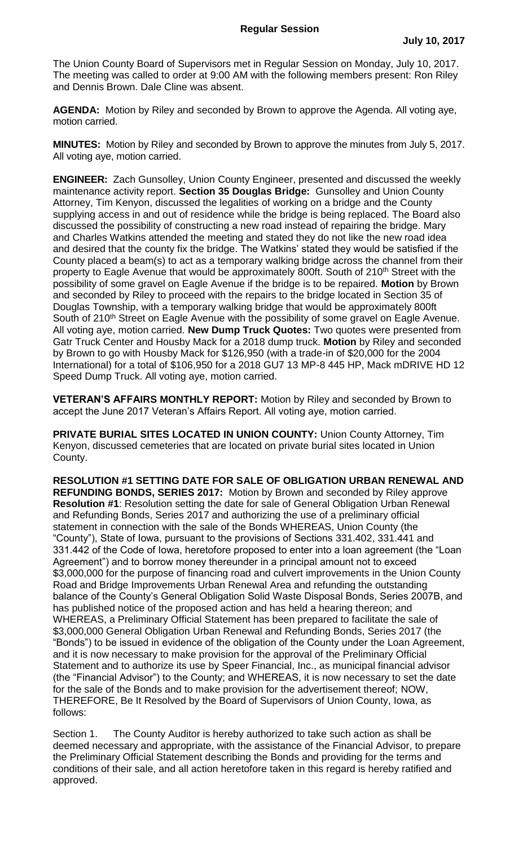The Union County Board of Supervisors met in Regular Session on Monday, July 10, 2017. The meeting was called to order at 9:00 AM with the following members present: Ron Riley and Dennis Brown. Dale Cline was absent.

**AGENDA:** Motion by Riley and seconded by Brown to approve the Agenda. All voting aye, motion carried.

**MINUTES:** Motion by Riley and seconded by Brown to approve the minutes from July 5, 2017. All voting aye, motion carried.

**ENGINEER:** Zach Gunsolley, Union County Engineer, presented and discussed the weekly maintenance activity report. **Section 35 Douglas Bridge:** Gunsolley and Union County Attorney, Tim Kenyon, discussed the legalities of working on a bridge and the County supplying access in and out of residence while the bridge is being replaced. The Board also discussed the possibility of constructing a new road instead of repairing the bridge. Mary and Charles Watkins attended the meeting and stated they do not like the new road idea and desired that the county fix the bridge. The Watkins' stated they would be satisfied if the County placed a beam(s) to act as a temporary walking bridge across the channel from their property to Eagle Avenue that would be approximately 800ft. South of 210<sup>th</sup> Street with the possibility of some gravel on Eagle Avenue if the bridge is to be repaired. **Motion** by Brown and seconded by Riley to proceed with the repairs to the bridge located in Section 35 of Douglas Township, with a temporary walking bridge that would be approximately 800ft South of 210<sup>th</sup> Street on Eagle Avenue with the possibility of some gravel on Eagle Avenue. All voting aye, motion carried. **New Dump Truck Quotes:** Two quotes were presented from Gatr Truck Center and Housby Mack for a 2018 dump truck. **Motion** by Riley and seconded by Brown to go with Housby Mack for \$126,950 (with a trade-in of \$20,000 for the 2004 International) for a total of \$106,950 for a 2018 GU7 13 MP-8 445 HP, Mack mDRIVE HD 12 Speed Dump Truck. All voting aye, motion carried.

**VETERAN'S AFFAIRS MONTHLY REPORT:** Motion by Riley and seconded by Brown to accept the June 2017 Veteran's Affairs Report. All voting aye, motion carried.

**PRIVATE BURIAL SITES LOCATED IN UNION COUNTY:** Union County Attorney, Tim Kenyon, discussed cemeteries that are located on private burial sites located in Union County.

**RESOLUTION #1 SETTING DATE FOR SALE OF OBLIGATION URBAN RENEWAL AND REFUNDING BONDS, SERIES 2017:** Motion by Brown and seconded by Riley approve **Resolution #1**: Resolution setting the date for sale of General Obligation Urban Renewal and Refunding Bonds, Series 2017 and authorizing the use of a preliminary official statement in connection with the sale of the Bonds WHEREAS, Union County (the "County"), State of Iowa, pursuant to the provisions of Sections 331.402, 331.441 and 331.442 of the Code of Iowa, heretofore proposed to enter into a loan agreement (the "Loan Agreement") and to borrow money thereunder in a principal amount not to exceed \$3,000,000 for the purpose of financing road and culvert improvements in the Union County Road and Bridge Improvements Urban Renewal Area and refunding the outstanding balance of the County's General Obligation Solid Waste Disposal Bonds, Series 2007B, and has published notice of the proposed action and has held a hearing thereon; and WHEREAS, a Preliminary Official Statement has been prepared to facilitate the sale of \$3,000,000 General Obligation Urban Renewal and Refunding Bonds, Series 2017 (the "Bonds") to be issued in evidence of the obligation of the County under the Loan Agreement, and it is now necessary to make provision for the approval of the Preliminary Official Statement and to authorize its use by Speer Financial, Inc., as municipal financial advisor (the "Financial Advisor") to the County; and WHEREAS, it is now necessary to set the date for the sale of the Bonds and to make provision for the advertisement thereof; NOW, THEREFORE, Be It Resolved by the Board of Supervisors of Union County, Iowa, as follows:

Section 1. The County Auditor is hereby authorized to take such action as shall be deemed necessary and appropriate, with the assistance of the Financial Advisor, to prepare the Preliminary Official Statement describing the Bonds and providing for the terms and conditions of their sale, and all action heretofore taken in this regard is hereby ratified and approved.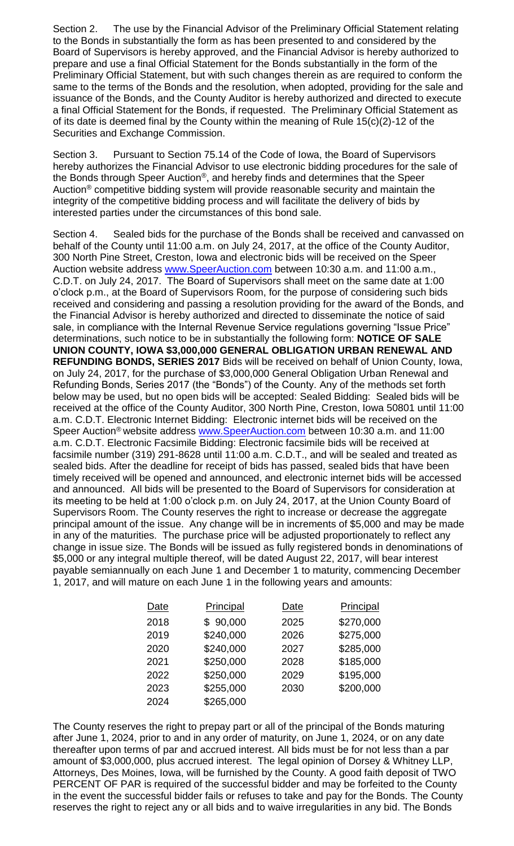Section 2. The use by the Financial Advisor of the Preliminary Official Statement relating to the Bonds in substantially the form as has been presented to and considered by the Board of Supervisors is hereby approved, and the Financial Advisor is hereby authorized to prepare and use a final Official Statement for the Bonds substantially in the form of the Preliminary Official Statement, but with such changes therein as are required to conform the same to the terms of the Bonds and the resolution, when adopted, providing for the sale and issuance of the Bonds, and the County Auditor is hereby authorized and directed to execute a final Official Statement for the Bonds, if requested. The Preliminary Official Statement as of its date is deemed final by the County within the meaning of Rule 15(c)(2)-12 of the Securities and Exchange Commission.

Section 3. Pursuant to Section 75.14 of the Code of Iowa, the Board of Supervisors hereby authorizes the Financial Advisor to use electronic bidding procedures for the sale of the Bonds through Speer Auction®, and hereby finds and determines that the Speer Auction® competitive bidding system will provide reasonable security and maintain the integrity of the competitive bidding process and will facilitate the delivery of bids by interested parties under the circumstances of this bond sale.

Section 4. Sealed bids for the purchase of the Bonds shall be received and canvassed on behalf of the County until 11:00 a.m. on July 24, 2017, at the office of the County Auditor, 300 North Pine Street, Creston, Iowa and electronic bids will be received on the Speer Auction website address [www.SpeerAuction.com](http://www.speerauction.com/) between 10:30 a.m. and 11:00 a.m., C.D.T. on July 24, 2017. The Board of Supervisors shall meet on the same date at 1:00 o'clock p.m., at the Board of Supervisors Room, for the purpose of considering such bids received and considering and passing a resolution providing for the award of the Bonds, and the Financial Advisor is hereby authorized and directed to disseminate the notice of said sale, in compliance with the Internal Revenue Service regulations governing "Issue Price" determinations, such notice to be in substantially the following form: **NOTICE OF SALE UNION COUNTY, IOWA \$3,000,000 GENERAL OBLIGATION URBAN RENEWAL AND REFUNDING BONDS, SERIES 2017** Bids will be received on behalf of Union County, Iowa, on July 24, 2017, for the purchase of \$3,000,000 General Obligation Urban Renewal and Refunding Bonds, Series 2017 (the "Bonds") of the County. Any of the methods set forth below may be used, but no open bids will be accepted: Sealed Bidding: Sealed bids will be received at the office of the County Auditor, 300 North Pine, Creston, Iowa 50801 until 11:00 a.m. C.D.T. Electronic Internet Bidding: Electronic internet bids will be received on the Speer Auction<sup>®</sup> website address [www.SpeerAuction.com](http://www.speerauction.com/) between 10:30 a.m. and 11:00 a.m. C.D.T. Electronic Facsimile Bidding: Electronic facsimile bids will be received at facsimile number (319) 291-8628 until 11:00 a.m. C.D.T., and will be sealed and treated as sealed bids. After the deadline for receipt of bids has passed, sealed bids that have been timely received will be opened and announced, and electronic internet bids will be accessed and announced. All bids will be presented to the Board of Supervisors for consideration at its meeting to be held at 1:00 o'clock p.m. on July 24, 2017, at the Union County Board of Supervisors Room. The County reserves the right to increase or decrease the aggregate principal amount of the issue. Any change will be in increments of \$5,000 and may be made in any of the maturities. The purchase price will be adjusted proportionately to reflect any change in issue size. The Bonds will be issued as fully registered bonds in denominations of \$5,000 or any integral multiple thereof, will be dated August 22, 2017, will bear interest payable semiannually on each June 1 and December 1 to maturity, commencing December 1, 2017, and will mature on each June 1 in the following years and amounts:

| Date | <b>Principal</b> | Date | <b>Principal</b> |
|------|------------------|------|------------------|
| 2018 | \$90,000         | 2025 | \$270,000        |
| 2019 | \$240,000        | 2026 | \$275,000        |
| 2020 | \$240,000        | 2027 | \$285,000        |
| 2021 | \$250,000        | 2028 | \$185,000        |
| 2022 | \$250,000        | 2029 | \$195,000        |
| 2023 | \$255,000        | 2030 | \$200,000        |
| 2024 | \$265,000        |      |                  |

The County reserves the right to prepay part or all of the principal of the Bonds maturing after June 1, 2024, prior to and in any order of maturity, on June 1, 2024, or on any date thereafter upon terms of par and accrued interest. All bids must be for not less than a par amount of \$3,000,000, plus accrued interest. The legal opinion of Dorsey & Whitney LLP, Attorneys, Des Moines, Iowa, will be furnished by the County. A good faith deposit of TWO PERCENT OF PAR is required of the successful bidder and may be forfeited to the County in the event the successful bidder fails or refuses to take and pay for the Bonds. The County reserves the right to reject any or all bids and to waive irregularities in any bid. The Bonds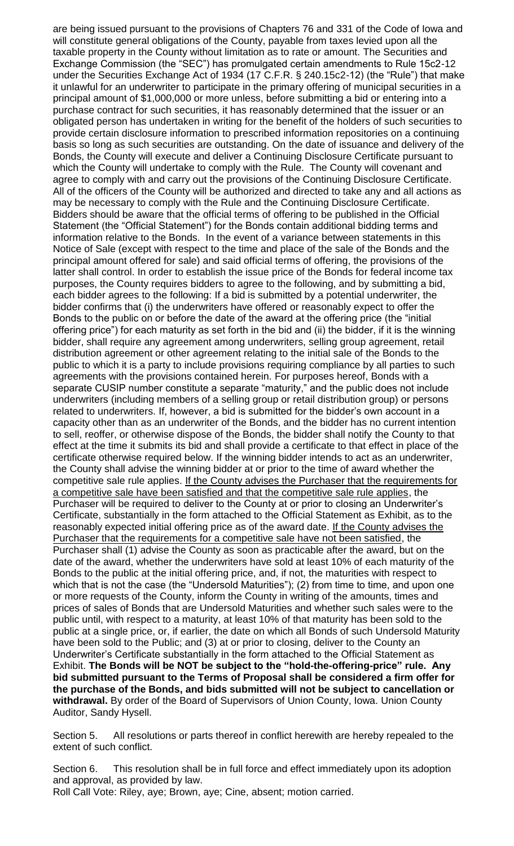are being issued pursuant to the provisions of Chapters 76 and 331 of the Code of Iowa and will constitute general obligations of the County, payable from taxes levied upon all the taxable property in the County without limitation as to rate or amount. The Securities and Exchange Commission (the "SEC") has promulgated certain amendments to Rule 15c2-12 under the Securities Exchange Act of 1934 (17 C.F.R. § 240.15c2-12) (the "Rule") that make it unlawful for an underwriter to participate in the primary offering of municipal securities in a principal amount of \$1,000,000 or more unless, before submitting a bid or entering into a purchase contract for such securities, it has reasonably determined that the issuer or an obligated person has undertaken in writing for the benefit of the holders of such securities to provide certain disclosure information to prescribed information repositories on a continuing basis so long as such securities are outstanding. On the date of issuance and delivery of the Bonds, the County will execute and deliver a Continuing Disclosure Certificate pursuant to which the County will undertake to comply with the Rule. The County will covenant and agree to comply with and carry out the provisions of the Continuing Disclosure Certificate. All of the officers of the County will be authorized and directed to take any and all actions as may be necessary to comply with the Rule and the Continuing Disclosure Certificate. Bidders should be aware that the official terms of offering to be published in the Official Statement (the "Official Statement") for the Bonds contain additional bidding terms and information relative to the Bonds. In the event of a variance between statements in this Notice of Sale (except with respect to the time and place of the sale of the Bonds and the principal amount offered for sale) and said official terms of offering, the provisions of the latter shall control. In order to establish the issue price of the Bonds for federal income tax purposes, the County requires bidders to agree to the following, and by submitting a bid, each bidder agrees to the following: If a bid is submitted by a potential underwriter, the bidder confirms that (i) the underwriters have offered or reasonably expect to offer the Bonds to the public on or before the date of the award at the offering price (the "initial offering price") for each maturity as set forth in the bid and (ii) the bidder, if it is the winning bidder, shall require any agreement among underwriters, selling group agreement, retail distribution agreement or other agreement relating to the initial sale of the Bonds to the public to which it is a party to include provisions requiring compliance by all parties to such agreements with the provisions contained herein. For purposes hereof, Bonds with a separate CUSIP number constitute a separate "maturity," and the public does not include underwriters (including members of a selling group or retail distribution group) or persons related to underwriters. If, however, a bid is submitted for the bidder's own account in a capacity other than as an underwriter of the Bonds, and the bidder has no current intention to sell, reoffer, or otherwise dispose of the Bonds, the bidder shall notify the County to that effect at the time it submits its bid and shall provide a certificate to that effect in place of the certificate otherwise required below. If the winning bidder intends to act as an underwriter, the County shall advise the winning bidder at or prior to the time of award whether the competitive sale rule applies. If the County advises the Purchaser that the requirements for a competitive sale have been satisfied and that the competitive sale rule applies, the Purchaser will be required to deliver to the County at or prior to closing an Underwriter's Certificate, substantially in the form attached to the Official Statement as Exhibit, as to the reasonably expected initial offering price as of the award date. If the County advises the Purchaser that the requirements for a competitive sale have not been satisfied, the Purchaser shall (1) advise the County as soon as practicable after the award, but on the date of the award, whether the underwriters have sold at least 10% of each maturity of the Bonds to the public at the initial offering price, and, if not, the maturities with respect to which that is not the case (the "Undersold Maturities"); (2) from time to time, and upon one or more requests of the County, inform the County in writing of the amounts, times and prices of sales of Bonds that are Undersold Maturities and whether such sales were to the public until, with respect to a maturity, at least 10% of that maturity has been sold to the public at a single price, or, if earlier, the date on which all Bonds of such Undersold Maturity have been sold to the Public; and (3) at or prior to closing, deliver to the County an Underwriter's Certificate substantially in the form attached to the Official Statement as Exhibit. **The Bonds will be NOT be subject to the "hold-the-offering-price" rule. Any bid submitted pursuant to the Terms of Proposal shall be considered a firm offer for the purchase of the Bonds, and bids submitted will not be subject to cancellation or withdrawal.** By order of the Board of Supervisors of Union County, Iowa. Union County Auditor, Sandy Hysell.

Section 5. All resolutions or parts thereof in conflict herewith are hereby repealed to the extent of such conflict.

Section 6. This resolution shall be in full force and effect immediately upon its adoption and approval, as provided by law.

Roll Call Vote: Riley, aye; Brown, aye; Cine, absent; motion carried.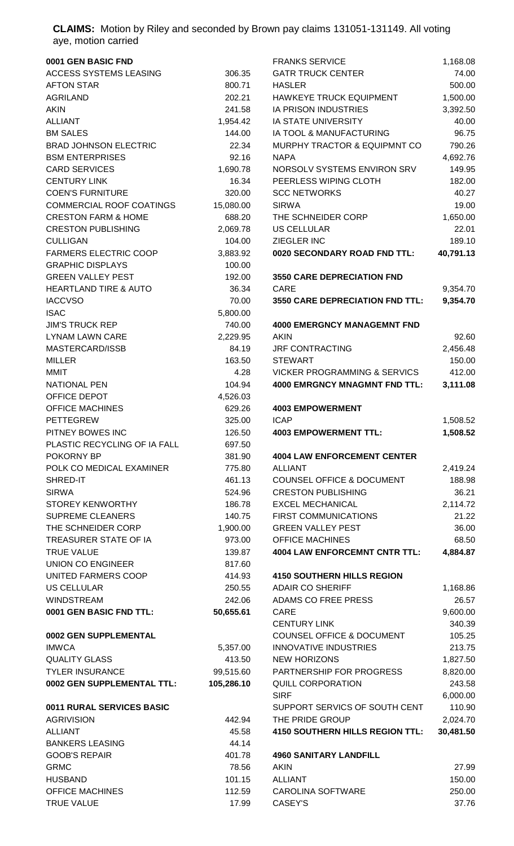**CLAIMS:** Motion by Riley and seconded by Brown pay claims 131051-131149. All voting aye, motion carried

| 0001 GEN BASIC FND                     |                  | <b>FRANKS SERVICE</b>                                             | 1,168.08        |
|----------------------------------------|------------------|-------------------------------------------------------------------|-----------------|
| ACCESS SYSTEMS LEASING                 | 306.35           | <b>GATR TRUCK CENTER</b>                                          | 74.00           |
| <b>AFTON STAR</b>                      | 800.71           | <b>HASLER</b>                                                     | 500.00          |
| <b>AGRILAND</b>                        | 202.21           | HAWKEYE TRUCK EQUIPMENT                                           | 1,500.00        |
| <b>AKIN</b>                            | 241.58           | IA PRISON INDUSTRIES                                              | 3,392.50        |
| <b>ALLIANT</b>                         | 1,954.42         | <b>IA STATE UNIVERSITY</b>                                        | 40.00           |
| <b>BM SALES</b>                        | 144.00           | IA TOOL & MANUFACTURING                                           | 96.75           |
| <b>BRAD JOHNSON ELECTRIC</b>           | 22.34            | MURPHY TRACTOR & EQUIPMNT CO                                      | 790.26          |
| <b>BSM ENTERPRISES</b>                 | 92.16            | <b>NAPA</b>                                                       | 4,692.76        |
| <b>CARD SERVICES</b>                   | 1,690.78         | NORSOLV SYSTEMS ENVIRON SRV                                       | 149.95          |
| <b>CENTURY LINK</b>                    | 16.34            | PEERLESS WIPING CLOTH                                             | 182.00          |
| <b>COEN'S FURNITURE</b>                | 320.00           | <b>SCC NETWORKS</b>                                               | 40.27           |
| <b>COMMERCIAL ROOF COATINGS</b>        | 15,080.00        | <b>SIRWA</b>                                                      | 19.00           |
| <b>CRESTON FARM &amp; HOME</b>         | 688.20           | THE SCHNEIDER CORP                                                | 1,650.00        |
| <b>CRESTON PUBLISHING</b>              | 2,069.78         | <b>US CELLULAR</b>                                                | 22.01           |
| <b>CULLIGAN</b>                        | 104.00           | ZIEGLER INC                                                       | 189.10          |
| <b>FARMERS ELECTRIC COOP</b>           | 3,883.92         | 0020 SECONDARY ROAD FND TTL:                                      | 40,791.13       |
| <b>GRAPHIC DISPLAYS</b>                | 100.00           |                                                                   |                 |
| <b>GREEN VALLEY PEST</b>               | 192.00           | <b>3550 CARE DEPRECIATION FND</b>                                 |                 |
| <b>HEARTLAND TIRE &amp; AUTO</b>       | 36.34            | <b>CARE</b>                                                       | 9,354.70        |
| <b>IACCVSO</b>                         | 70.00            | <b>3550 CARE DEPRECIATION FND TTL:</b>                            | 9,354.70        |
| <b>ISAC</b>                            | 5,800.00         |                                                                   |                 |
| <b>JIM'S TRUCK REP</b>                 | 740.00           | <b>4000 EMERGNCY MANAGEMNT FND</b>                                |                 |
| <b>LYNAM LAWN CARE</b>                 | 2,229.95         | <b>AKIN</b>                                                       | 92.60           |
| MASTERCARD/ISSB                        | 84.19            | <b>JRF CONTRACTING</b>                                            | 2,456.48        |
| <b>MILLER</b>                          | 163.50           | <b>STEWART</b>                                                    | 150.00          |
| MMIT                                   | 4.28             | <b>VICKER PROGRAMMING &amp; SERVICS</b>                           | 412.00          |
| <b>NATIONAL PEN</b>                    | 104.94           | <b>4000 EMRGNCY MNAGMNT FND TTL:</b>                              | 3,111.08        |
| OFFICE DEPOT                           | 4,526.03         |                                                                   |                 |
| <b>OFFICE MACHINES</b>                 | 629.26           | <b>4003 EMPOWERMENT</b>                                           |                 |
| <b>PETTEGREW</b>                       | 325.00           | <b>ICAP</b>                                                       | 1,508.52        |
| PITNEY BOWES INC                       | 126.50           | <b>4003 EMPOWERMENT TTL:</b>                                      | 1,508.52        |
| PLASTIC RECYCLING OF IA FALL           | 697.50           |                                                                   |                 |
| POKORNY BP<br>POLK CO MEDICAL EXAMINER | 381.90           | <b>4004 LAW ENFORCEMENT CENTER</b><br><b>ALLIANT</b>              |                 |
| SHRED-IT                               | 775.80           |                                                                   | 2,419.24        |
| <b>SIRWA</b>                           | 461.13<br>524.96 | <b>COUNSEL OFFICE &amp; DOCUMENT</b><br><b>CRESTON PUBLISHING</b> | 188.98<br>36.21 |
| <b>STOREY KENWORTHY</b>                | 186.78           | <b>EXCEL MECHANICAL</b>                                           | 2,114.72        |
| <b>SUPREME CLEANERS</b>                | 140.75           | FIRST COMMUNICATIONS                                              | 21.22           |
| THE SCHNEIDER CORP                     | 1,900.00         | <b>GREEN VALLEY PEST</b>                                          | 36.00           |
| TREASURER STATE OF IA                  | 973.00           | <b>OFFICE MACHINES</b>                                            | 68.50           |
| <b>TRUE VALUE</b>                      | 139.87           | <b>4004 LAW ENFORCEMNT CNTR TTL:</b>                              | 4,884.87        |
| <b>UNION CO ENGINEER</b>               | 817.60           |                                                                   |                 |
| UNITED FARMERS COOP                    | 414.93           | <b>4150 SOUTHERN HILLS REGION</b>                                 |                 |
| <b>US CELLULAR</b>                     | 250.55           | <b>ADAIR CO SHERIFF</b>                                           | 1,168.86        |
| <b>WINDSTREAM</b>                      | 242.06           | ADAMS CO FREE PRESS                                               | 26.57           |
| 0001 GEN BASIC FND TTL:                | 50,655.61        | CARE                                                              | 9,600.00        |
|                                        |                  | <b>CENTURY LINK</b>                                               | 340.39          |
| 0002 GEN SUPPLEMENTAL                  |                  | <b>COUNSEL OFFICE &amp; DOCUMENT</b>                              | 105.25          |
| <b>IMWCA</b>                           | 5,357.00         | <b>INNOVATIVE INDUSTRIES</b>                                      | 213.75          |
| <b>QUALITY GLASS</b>                   | 413.50           | <b>NEW HORIZONS</b>                                               | 1,827.50        |
| <b>TYLER INSURANCE</b>                 | 99,515.60        | PARTNERSHIP FOR PROGRESS                                          | 8,820.00        |
| 0002 GEN SUPPLEMENTAL TTL:             | 105,286.10       | <b>QUILL CORPORATION</b>                                          | 243.58          |
|                                        |                  | <b>SIRF</b>                                                       | 6,000.00        |
| 0011 RURAL SERVICES BASIC              |                  | SUPPORT SERVICS OF SOUTH CENT                                     | 110.90          |
| <b>AGRIVISION</b>                      | 442.94           | THE PRIDE GROUP                                                   | 2,024.70        |
| <b>ALLIANT</b>                         | 45.58            | <b>4150 SOUTHERN HILLS REGION TTL:</b>                            | 30,481.50       |
| <b>BANKERS LEASING</b>                 | 44.14            |                                                                   |                 |
| <b>GOOB'S REPAIR</b>                   | 401.78           | <b>4960 SANITARY LANDFILL</b>                                     |                 |
| <b>GRMC</b>                            | 78.56            | <b>AKIN</b>                                                       | 27.99           |
| <b>HUSBAND</b>                         | 101.15           | <b>ALLIANT</b>                                                    | 150.00          |
| <b>OFFICE MACHINES</b>                 | 112.59           | <b>CAROLINA SOFTWARE</b>                                          | 250.00          |
| <b>TRUE VALUE</b>                      | 17.99            | CASEY'S                                                           | 37.76           |
|                                        |                  |                                                                   |                 |